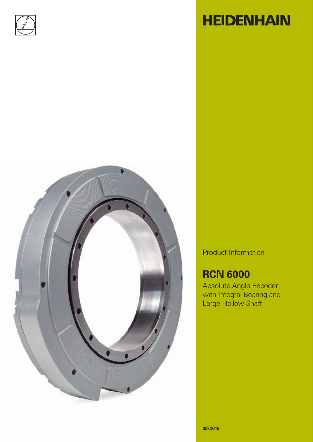



# **HEIDENHAIN**

Product Information

## **RCN 6000**

Absolute Angle Encoder with Integral Bearing and Large Hollow Shaft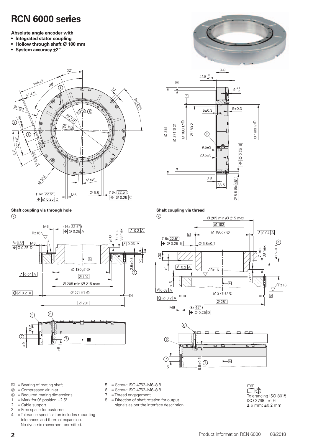### **RCN 6000 series**

**Absolute angle encoder with**

- **Integrated stator coupling**
- Hollow through shaft  $\varnothing$  180 mm
- **System accuracy ±2"**







**Shaft coupling via thread** 

**Shaft coupling via through hole**   $^{\circledR}$ 







- $\Box$  = Bearing of mating shaft
- $\circledcirc$  = Compressed air inlet<br> $\circledcirc$  = Required mating dim
- = Required mating dimensions
- 1 = Mark for 0° position  $\pm 2.5$ °<br>2 = Cable support
- $2 =$  Cable support<br> $3 =$  Free space for
- $=$  Free space for customer
- 4 = Tolerance specification includes mounting tolerances and thermal expansion. No dynamic movement permitted.
- 5 = Screw: ISO 4762–M6–8.8.
- $6 =$  Screw: ISO 4762–M6–8.8.<br>  $7 =$ Thread engagement
	- = Thread engagement
- 8 = Direction of shaft rotation for output signals as per the interface description

| mm                        |
|---------------------------|
|                           |
| Tolerancing ISO 8015      |
| ISO 2768 - m H            |
| $\leq 6$ mm: $\pm 0.2$ mm |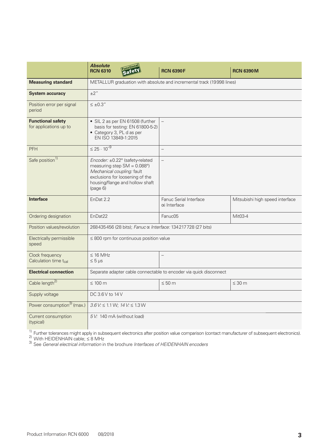|                                                      | <b>Absolute</b><br><b>Functional</b><br><b>RCN 6310</b><br>safet                                                                                                                         | <b>RCN 6390F</b>                       | <b>RCN 6390M</b>                |
|------------------------------------------------------|------------------------------------------------------------------------------------------------------------------------------------------------------------------------------------------|----------------------------------------|---------------------------------|
| <b>Measuring standard</b>                            | METALLUR graduation with absolute and incremental track (19998 lines)                                                                                                                    |                                        |                                 |
| <b>System accuracy</b>                               | $\pm 2$ "                                                                                                                                                                                |                                        |                                 |
| Position error per signal<br>period                  | $\leq \pm 0.3$ "                                                                                                                                                                         |                                        |                                 |
| <b>Functional safety</b><br>for applications up to   | • SIL 2 as per EN 61508 (further<br>basis for testing: EN 61800-5-2)<br>• Category 3, PL d as per<br>EN ISO 13849-1:2015                                                                 |                                        |                                 |
| <b>PFH</b>                                           | $\leq 25 \cdot 10^{-9}$                                                                                                                                                                  | $\equiv$                               |                                 |
| Safe position <sup>1)</sup>                          | Encoder: ±0.22° (safety-related<br>measuring step $SM = 0.088^{\circ}$ )<br>Mechanical coupling: fault<br>exclusions for loosening of the<br>housing/flange and hollow shaft<br>(page 6) |                                        |                                 |
| <b>Interface</b>                                     | EnDat 2.2                                                                                                                                                                                | Fanuc Serial Interface<br>αi Interface | Mitsubishi high speed interface |
| Ordering designation                                 | EnDat <sub>22</sub>                                                                                                                                                                      | Fanuc05                                | Mit03-4                         |
| Position values/revolution                           | 268435456 (28 bits); Fanuc α Interface: 134217728 (27 bits)                                                                                                                              |                                        |                                 |
| Electrically permissible<br>speed                    | $\leq$ 800 rpm for continuous position value                                                                                                                                             |                                        |                                 |
| Clock frequency<br>Calculation time t <sub>cal</sub> | $\leq 16$ MHz<br>$\leq 5 \,\mu s$                                                                                                                                                        |                                        |                                 |
| <b>Electrical connection</b>                         | Separate adapter cable connectable to encoder via quick disconnect                                                                                                                       |                                        |                                 |
| Cable length <sup>2)</sup>                           | $\leq 100$ m                                                                                                                                                                             | $\leq 50$ m                            | $\leq 30$ m                     |
| Supply voltage                                       | DC 3.6 V to 14 V                                                                                                                                                                         |                                        |                                 |
| Power consumption <sup>3)</sup> (max.)               | $3.6$ V: $\leq 1.1$ W; $14$ V: $\leq 1.3$ W                                                                                                                                              |                                        |                                 |
| Current consumption<br>(typical)                     | 5 V: 140 mA (without load)                                                                                                                                                               |                                        |                                 |

 $\frac{1}{2}$  Further tolerances might apply in subsequent electronics after position value comparison (contact manufacturer of subsequent electronics).

<sup>2)</sup> With HEIDENHAIN cable;  $\leq 8$  MHz

3) See *General electrical information* in the brochure *Interfaces of HEIDENHAIN encoders*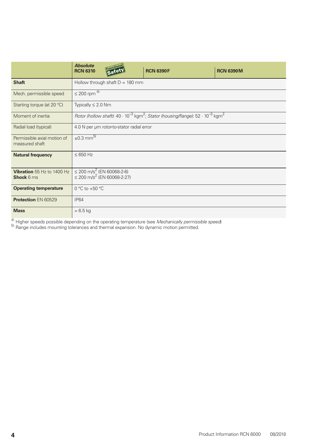|                                                        | <b>Absolute</b><br><b>RCN 6310</b>                                                                                       | <b>Eunctiona</b><br>Safet         | <b>RCN 6390F</b> | <b>RCN 6390M</b> |
|--------------------------------------------------------|--------------------------------------------------------------------------------------------------------------------------|-----------------------------------|------------------|------------------|
| <b>Shaft</b>                                           |                                                                                                                          | Hollow through shaft $D = 180$ mm |                  |                  |
| Mech. permissible speed                                | $\leq 200$ rpm $\overline{4}$                                                                                            |                                   |                  |                  |
| Starting torque (at 20 °C)                             |                                                                                                                          | Typically $\leq 2.0$ Nm           |                  |                  |
| Moment of inertia                                      | Rotor (hollow shaft): $40 \cdot 10^{-3}$ kgm <sup>2</sup> ; Stator (housing/flange): $52 \cdot 10^{-3}$ kgm <sup>2</sup> |                                   |                  |                  |
| Radial load (typical)                                  | 4.0 N per µm rotor-to-stator radial error                                                                                |                                   |                  |                  |
| Permissible axial motion of<br>measured shaft          | $\pm 0.3$ mm <sup>5)</sup>                                                                                               |                                   |                  |                  |
| <b>Natural frequency</b>                               | $\leq 650$ Hz                                                                                                            |                                   |                  |                  |
| <b>Vibration</b> 55 Hz to 1400 Hz<br><b>Shock 6 ms</b> | $\leq$ 200 m/s <sup>2</sup> (EN 60068-2-6)<br>$\leq$ 200 m/s <sup>2</sup> (EN 60068-2-27)                                |                                   |                  |                  |
| <b>Operating temperature</b>                           | 0 °C to +50 °C                                                                                                           |                                   |                  |                  |
| <b>Protection EN 60529</b>                             | <b>IP64</b>                                                                                                              |                                   |                  |                  |
| <b>Mass</b>                                            | $\approx 6.5$ kg                                                                                                         |                                   |                  |                  |

4) Higher speeds possible depending on the operating temperature (see *Mechanically permissible speed*)

<sup>5)</sup> Range includes mounting tolerances and thermal expansion. No dynamic motion permitted.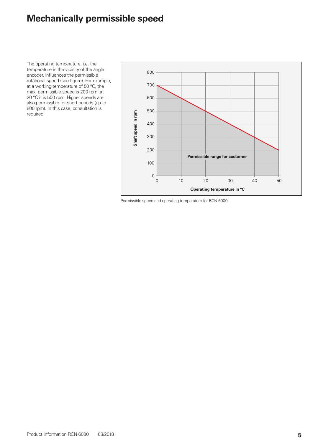### **Mechanically permissible speed**

The operating temperature, i.e. the temperature in the vicinity of the angle encoder, influences the permissible rotational speed (see figure). For example, at a working temperature of 50 °C, the max. permissible speed is 200 rpm; at 20 °C it is 500 rpm. Higher speeds are also permissible for short periods (up to 800 rpm). In this case, consultation is required.

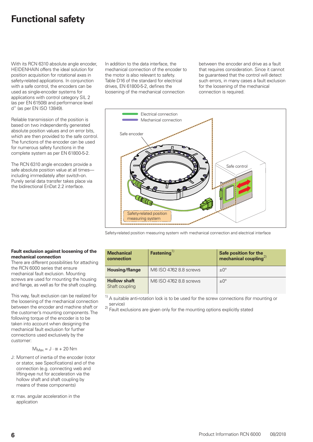### **Functional safety**

With its RCN 6310 absolute angle encoder, HEIDENHAIN offers the ideal solution for position acquisition for rotational axes in safety-related applications. In conjunction with a safe control, the encoders can be used as single-encoder systems for applications with control category SIL 2 (as per EN 61508) and performance level d" (as per EN ISO 13849).

Reliable transmission of the position is based on two independently generated absolute position values and on error bits, which are then provided to the safe control. The functions of the encoder can be used for numerous safety functions in the complete system as per EN 61800-5-2.

The RCN 6310 angle encoders provide a safe absolute position value at all times including immediately after switch-on. Purely serial data transfer takes place via the bidirectional EnDat 2.2 interface.

In addition to the data interface, the mechanical connection of the encoder to the motor is also relevant to safety. Table D16 of the standard for electrical drives, EN 61800-5-2, defines the loosening of the mechanical connection

between the encoder and drive as a fault that requires consideration. Since it cannot be guaranteed that the control will detect such errors, in many cases a fault exclusion for the loosening of the mechanical connection is required.





#### **Mechanical connection Fastening**<sup>1)</sup> **Safe position for the mechanical coupling**2) **Housing/flange** | M6 ISO 4762 8.8 screws  $\pm 0^{\circ}$ **Hollow shaft** Shaft coupling M6 ISO 4762 8.8 screws  $\frac{1}{2}$   $\pm$ 0°

 $1)$  A suitable anti-rotation lock is to be used for the screw connections (for mounting or service)

<sup>2)</sup> Fault exclusions are given only for the mounting options explicitly stated

#### **Fault exclusion against loosening of the mechanical connection**

There are different possibilities for attaching the RCN 6000 series that ensure mechanical fault exclusion. Mounting screws are used for mounting the housing and flange, as well as for the shaft coupling.

This way, fault exclusion can be realized for the loosening of the mechanical connection between the encoder and machine shaft or the customer's mounting components. The following torque of the encoder is to be taken into account when designing the mechanical fault exclusion for further connections used exclusively by the customer:

$$
M_{Max} = J \cdot \alpha + 20 Nm
$$

- J: Moment of inertia of the encoder (rotor or stator, see Specifications) and of the connection (e.g. connecting web and lifting-eye nut for acceleration via the hollow shaft and shaft coupling by means of these components)
- $\alpha$ : max. angular acceleration in the application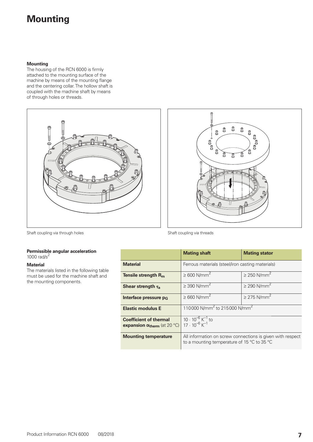### **Mounting**

#### **Mounting**

The housing of the RCN 6000 is firmly attached to the mounting surface of the machine by means of the mounting flange and the centering collar. The hollow shaft is coupled with the machine shaft by means of through holes or threads.





Shaft coupling via through holes Shaft coupling via threads

#### **Permissible angular acceleration** 1000  $rad/s<sup>2</sup>$

#### **Material**

The materials listed in the following table must be used for the machine shaft and the mounting components.

|                                                                        | <b>Mating shaft</b>                                                                                                         | <b>Mating stator</b>         |
|------------------------------------------------------------------------|-----------------------------------------------------------------------------------------------------------------------------|------------------------------|
| <b>Material</b>                                                        | Ferrous materials (steel/iron casting materials)                                                                            |                              |
| Tensile strength $R_m$                                                 | $\geq 600$ N/mm <sup>2</sup>                                                                                                | $\geq$ 250 N/mm <sup>2</sup> |
| Shear strength $\tau_a$                                                | $\geq$ 390 N/mm <sup>2</sup>                                                                                                | $\geq$ 290 N/mm <sup>2</sup> |
| Interface pressure $p_G$                                               | $\geq 660$ N/mm <sup>2</sup>                                                                                                | $\geq$ 275 N/mm <sup>2</sup> |
| <b>Elastic modulus E</b>                                               | 110000 N/mm <sup>2</sup> to 215000 N/mm <sup>2</sup>                                                                        |                              |
| <b>Coefficient of thermal</b><br>expansion $\alpha_{therm}$ (at 20 °C) | $10 \cdot 10^{-6}$ K <sup>-1</sup> to<br>17 $\cdot 10^{-6}$ K <sup>-1</sup>                                                 |                              |
| <b>Mounting temperature</b>                                            | All information on screw connections is given with respect<br>to a mounting temperature of 15 $\degree$ C to 35 $\degree$ C |                              |